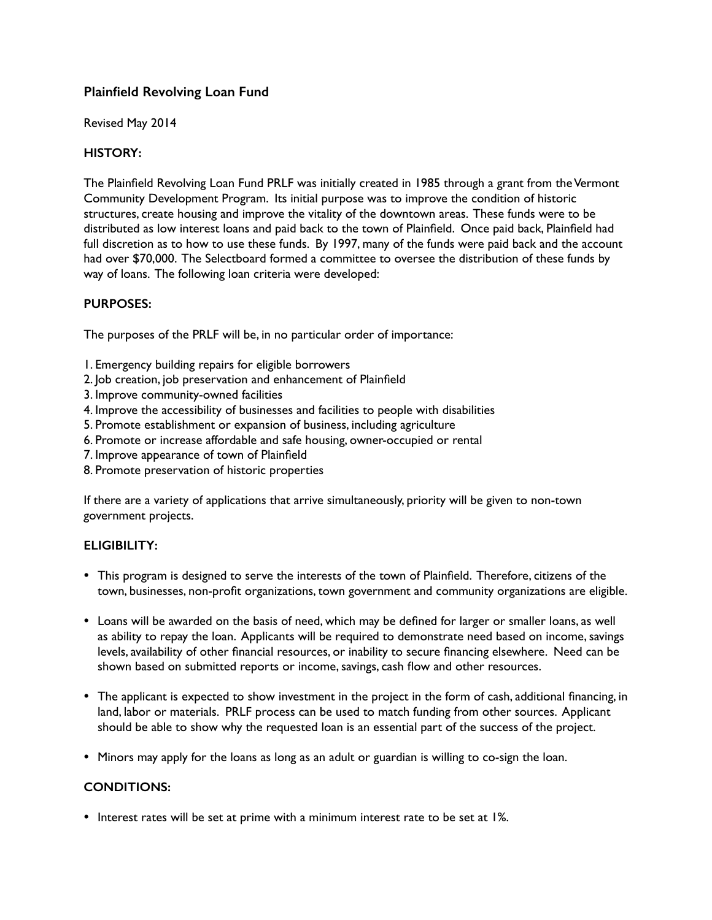# **Plainfield Revolving Loan Fund**

Revised May 2014

## **HISTORY:**

The Plainfield Revolving Loan Fund PRLF was initially created in 1985 through a grant from the Vermont Community Development Program. Its initial purpose was to improve the condition of historic structures, create housing and improve the vitality of the downtown areas. These funds were to be distributed as low interest loans and paid back to the town of Plainfield. Once paid back, Plainfield had full discretion as to how to use these funds. By 1997, many of the funds were paid back and the account had over \$70,000. The Selectboard formed a committee to oversee the distribution of these funds by way of loans. The following loan criteria were developed:

## **PURPOSES:**

The purposes of the PRLF will be, in no particular order of importance:

- 1. Emergency building repairs for eligible borrowers
- 2. Job creation, job preservation and enhancement of Plainfield
- 3. Improve community-owned facilities
- 4. Improve the accessibility of businesses and facilities to people with disabilities
- 5. Promote establishment or expansion of business, including agriculture
- 6. Promote or increase affordable and safe housing, owner-occupied or rental
- 7. Improve appearance of town of Plainfield
- 8. Promote preservation of historic properties

If there are a variety of applications that arrive simultaneously, priority will be given to non-town government projects.

## **ELIGIBILITY:**

- This program is designed to serve the interests of the town of Plainfield. Therefore, citizens of the town, businesses, non-profit organizations, town government and community organizations are eligible.
- Loans will be awarded on the basis of need, which may be defined for larger or smaller loans, as well as ability to repay the loan. Applicants will be required to demonstrate need based on income, savings levels, availability of other financial resources, or inability to secure financing elsewhere. Need can be shown based on submitted reports or income, savings, cash flow and other resources.
- The applicant is expected to show investment in the project in the form of cash, additional financing, in land, labor or materials. PRLF process can be used to match funding from other sources. Applicant should be able to show why the requested loan is an essential part of the success of the project.
- Minors may apply for the loans as long as an adult or guardian is willing to co-sign the loan.

## **CONDITIONS:**

• Interest rates will be set at prime with a minimum interest rate to be set at 1%.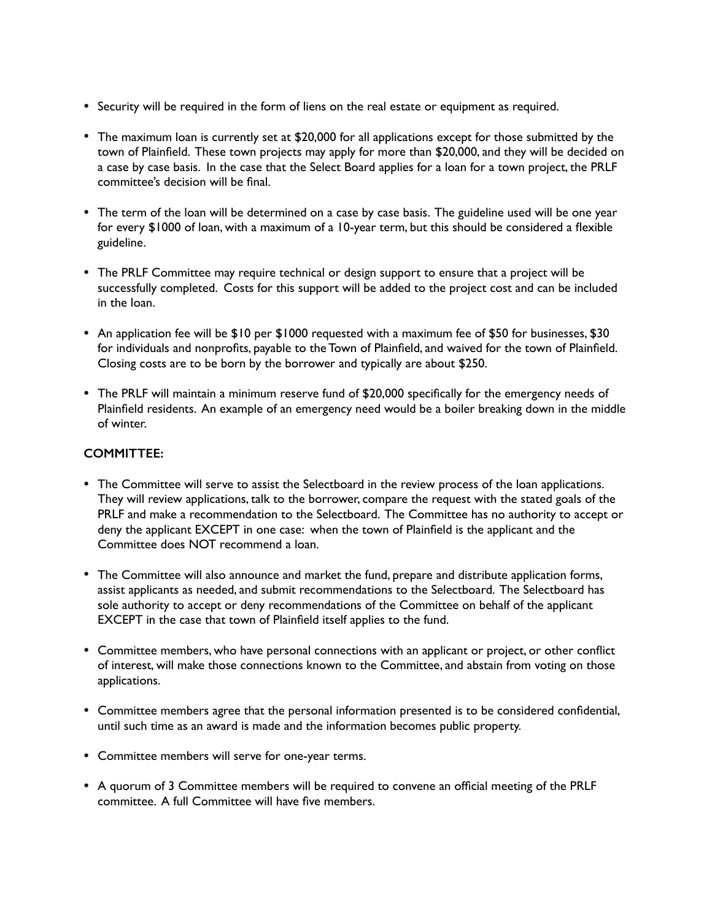- Security will be required in the form of liens on the real estate or equipment as required.
- The maximum loan is currently set at \$20,000 for all applications except for those submitted by the town of Plainfield. These town projects may apply for more than \$20,000, and they will be decided on a case by case basis. In the case that the Select Board applies for a loan for a town project, the PRLF committee's decision will be final.
- The term of the loan will be determined on a case by case basis. The guideline used will be one year for every \$1000 of loan, with a maximum of a 10-year term, but this should be considered a flexible guideline.
- The PRLF Committee may require technical or design support to ensure that a project will be successfully completed. Costs for this support will be added to the project cost and can be included in the loan.
- An application fee will be \$10 per \$1000 requested with a maximum fee of \$50 for businesses, \$30 for individuals and nonprofits, payable to the Town of Plainfield, and waived for the town of Plainfield. Closing costs are to be born by the borrower and typically are about \$250.
- The PRLF will maintain a minimum reserve fund of \$20,000 specifically for the emergency needs of Plainfield residents. An example of an emergency need would be a boiler breaking down in the middle of winter.

## **COMMITTEE:**

- The Committee will serve to assist the Selectboard in the review process of the loan applications. They will review applications, talk to the borrower, compare the request with the stated goals of the PRLF and make a recommendation to the Selectboard. The Committee has no authority to accept or deny the applicant EXCEPT in one case: when the town of Plainfield is the applicant and the Committee does NOT recommend a loan.
- The Committee will also announce and market the fund, prepare and distribute application forms, assist applicants as needed, and submit recommendations to the Selectboard. The Selectboard has sole authority to accept or deny recommendations of the Committee on behalf of the applicant EXCEPT in the case that town of Plainfield itself applies to the fund.
- Committee members, who have personal connections with an applicant or project, or other conflict of interest, will make those connections known to the Committee, and abstain from voting on those applications.
- Committee members agree that the personal information presented is to be considered confidential, until such time as an award is made and the information becomes public property.
- Committee members will serve for one-year terms.
- A quorum of 3 Committee members will be required to convene an official meeting of the PRLF committee. A full Committee will have five members.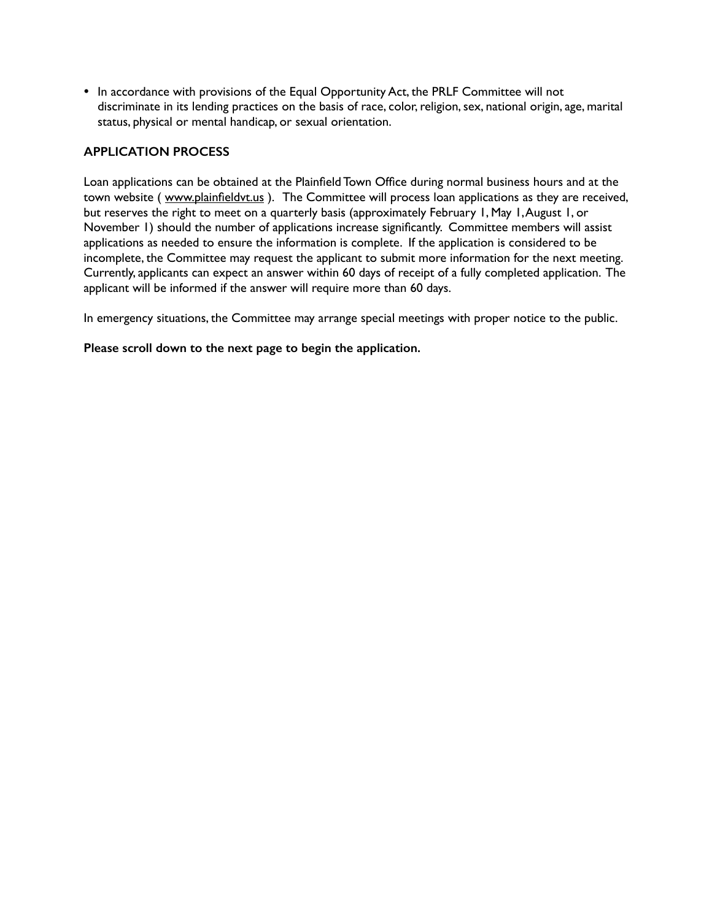• In accordance with provisions of the Equal Opportunity Act, the PRLF Committee will not discriminate in its lending practices on the basis of race, color, religion, sex, national origin, age, marital status, physical or mental handicap, or sexual orientation.

### **APPLICATION PROCESS**

Loan applications can be obtained at the Plainfield Town Office during normal business hours and at the town website ( [www.plainfieldvt.us](http://www.plainfieldvt.us) ). The Committee will process loan applications as they are received, but reserves the right to meet on a quarterly basis (approximately February 1, May 1, August 1, or November 1) should the number of applications increase significantly. Committee members will assist applications as needed to ensure the information is complete. If the application is considered to be incomplete, the Committee may request the applicant to submit more information for the next meeting. Currently, applicants can expect an answer within 60 days of receipt of a fully completed application. The applicant will be informed if the answer will require more than 60 days.

In emergency situations, the Committee may arrange special meetings with proper notice to the public.

**Please scroll down to the next page to begin the application.**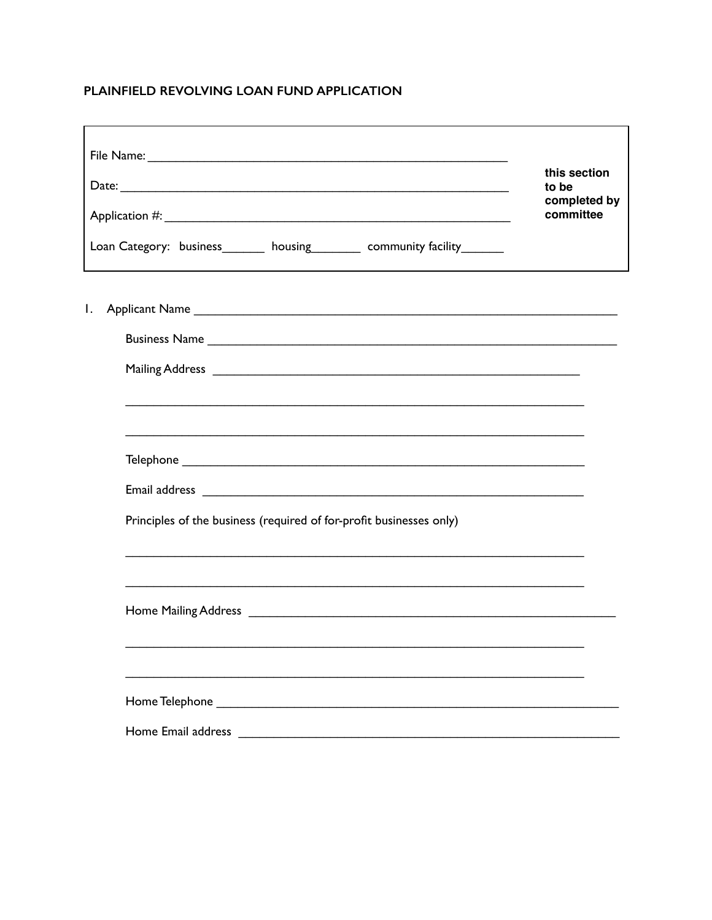# PLAINFIELD REVOLVING LOAN FUND APPLICATION

| Loan Category: business________ housing_________ community facility________                                                                                                                                                          | this section<br>to be<br>completed by<br>committee |
|--------------------------------------------------------------------------------------------------------------------------------------------------------------------------------------------------------------------------------------|----------------------------------------------------|
| Ι.<br>Mailing Address Lawrence and Contract and Contract and Contract and Contract and Contract and Contract and Contract and Contract and Contract and Contract and Contract and Contract and Contract and Contract and Contract an |                                                    |
| Principles of the business (required of for-profit businesses only)                                                                                                                                                                  |                                                    |
|                                                                                                                                                                                                                                      |                                                    |
| Home Email address                                                                                                                                                                                                                   |                                                    |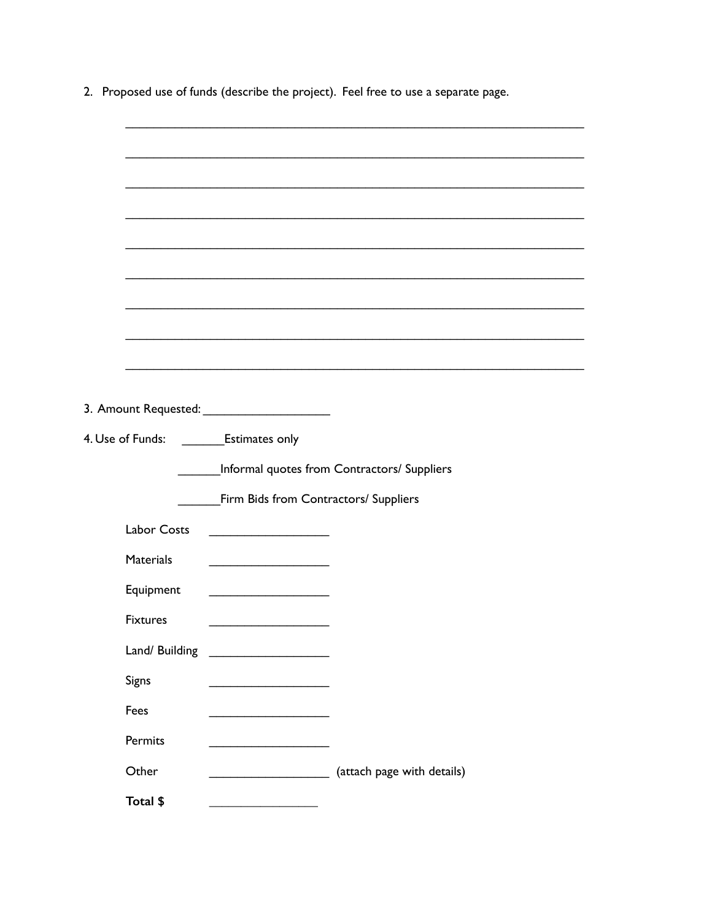|  | 2. Proposed use of funds (describe the project). Feel free to use a separate page. |
|--|------------------------------------------------------------------------------------|
|  |                                                                                    |

|                    | 4. Use of Funds: _________Estimates only           |                                             |  |
|--------------------|----------------------------------------------------|---------------------------------------------|--|
|                    |                                                    | Informal quotes from Contractors/ Suppliers |  |
|                    | Firm Bids from Contractors/ Suppliers              |                                             |  |
| <b>Labor Costs</b> |                                                    |                                             |  |
| <b>Materials</b>   | <u> 1989 - Johann Barbara, martin amerikan per</u> |                                             |  |
| Equipment          | <u> 1989 - Johann Barbara, martxa a</u>            |                                             |  |
| <b>Fixtures</b>    |                                                    |                                             |  |
| Land/ Building     |                                                    |                                             |  |
| Signs              |                                                    |                                             |  |
| Fees               |                                                    |                                             |  |
| Permits            |                                                    |                                             |  |
| Other              |                                                    | (attach page with details)                  |  |
| Total \$           |                                                    |                                             |  |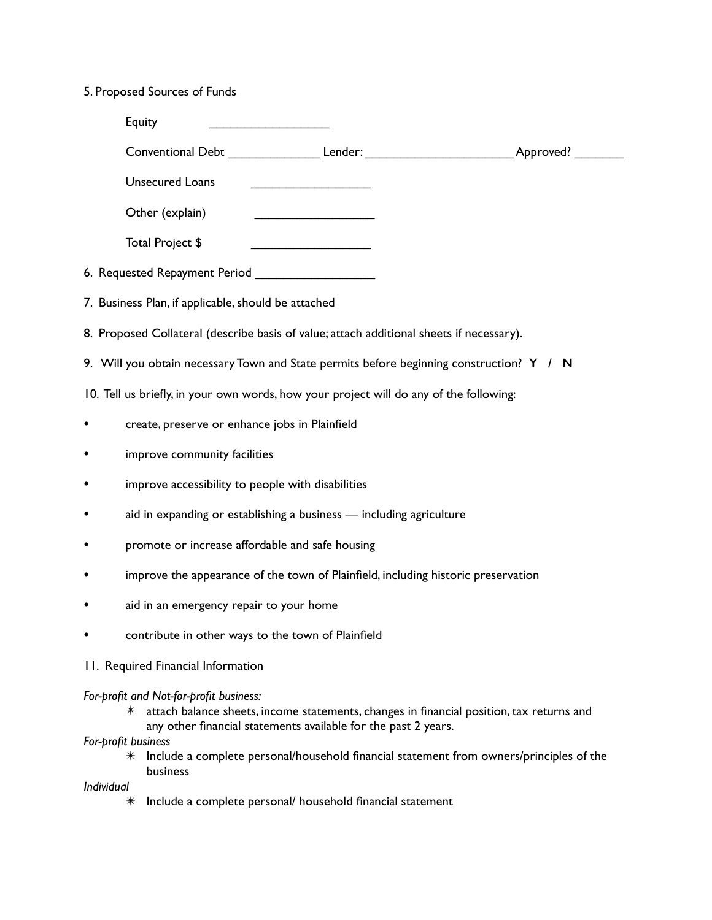# 5. Proposed Sources of Funds

|           | Equity                                                                                   |                                                                                                                                                            |                                                                                                      |
|-----------|------------------------------------------------------------------------------------------|------------------------------------------------------------------------------------------------------------------------------------------------------------|------------------------------------------------------------------------------------------------------|
|           |                                                                                          |                                                                                                                                                            | Conventional Debt ____________________Lender: ___________________________________ Approved? ________ |
|           | <b>Unsecured Loans</b>                                                                   | <u> 1989 - Johann John Stone, meil in der Stone (d. 1989)</u>                                                                                              |                                                                                                      |
|           | Other (explain)                                                                          |                                                                                                                                                            |                                                                                                      |
|           | Total Project \$                                                                         | <u> 1990 - Johann Barbara, martin a</u>                                                                                                                    |                                                                                                      |
|           |                                                                                          |                                                                                                                                                            |                                                                                                      |
|           | 7. Business Plan, if applicable, should be attached                                      |                                                                                                                                                            |                                                                                                      |
|           | 8. Proposed Collateral (describe basis of value; attach additional sheets if necessary). |                                                                                                                                                            |                                                                                                      |
|           | 9. Will you obtain necessary Town and State permits before beginning construction? Y / N |                                                                                                                                                            |                                                                                                      |
|           | 10. Tell us briefly, in your own words, how your project will do any of the following:   |                                                                                                                                                            |                                                                                                      |
| ٠         | create, preserve or enhance jobs in Plainfield                                           |                                                                                                                                                            |                                                                                                      |
| $\bullet$ | improve community facilities                                                             |                                                                                                                                                            |                                                                                                      |
| $\bullet$ | improve accessibility to people with disabilities                                        |                                                                                                                                                            |                                                                                                      |
| $\bullet$ |                                                                                          | aid in expanding or establishing a business - including agriculture                                                                                        |                                                                                                      |
| $\bullet$ | promote or increase affordable and safe housing                                          |                                                                                                                                                            |                                                                                                      |
| ٠         |                                                                                          | improve the appearance of the town of Plainfield, including historic preservation                                                                          |                                                                                                      |
| ٠         | aid in an emergency repair to your home                                                  |                                                                                                                                                            |                                                                                                      |
|           | contribute in other ways to the town of Plainfield                                       |                                                                                                                                                            |                                                                                                      |
|           | 11. Required Financial Information                                                       |                                                                                                                                                            |                                                                                                      |
|           | For-profit and Not-for-profit business:<br>$\ast$<br>For-profit business                 | attach balance sheets, income statements, changes in financial position, tax returns and<br>any other financial statements available for the past 2 years. |                                                                                                      |

✴ Include a complete personal/household financial statement from owners/principles of the business

*Individual*

✴ Include a complete personal/ household financial statement